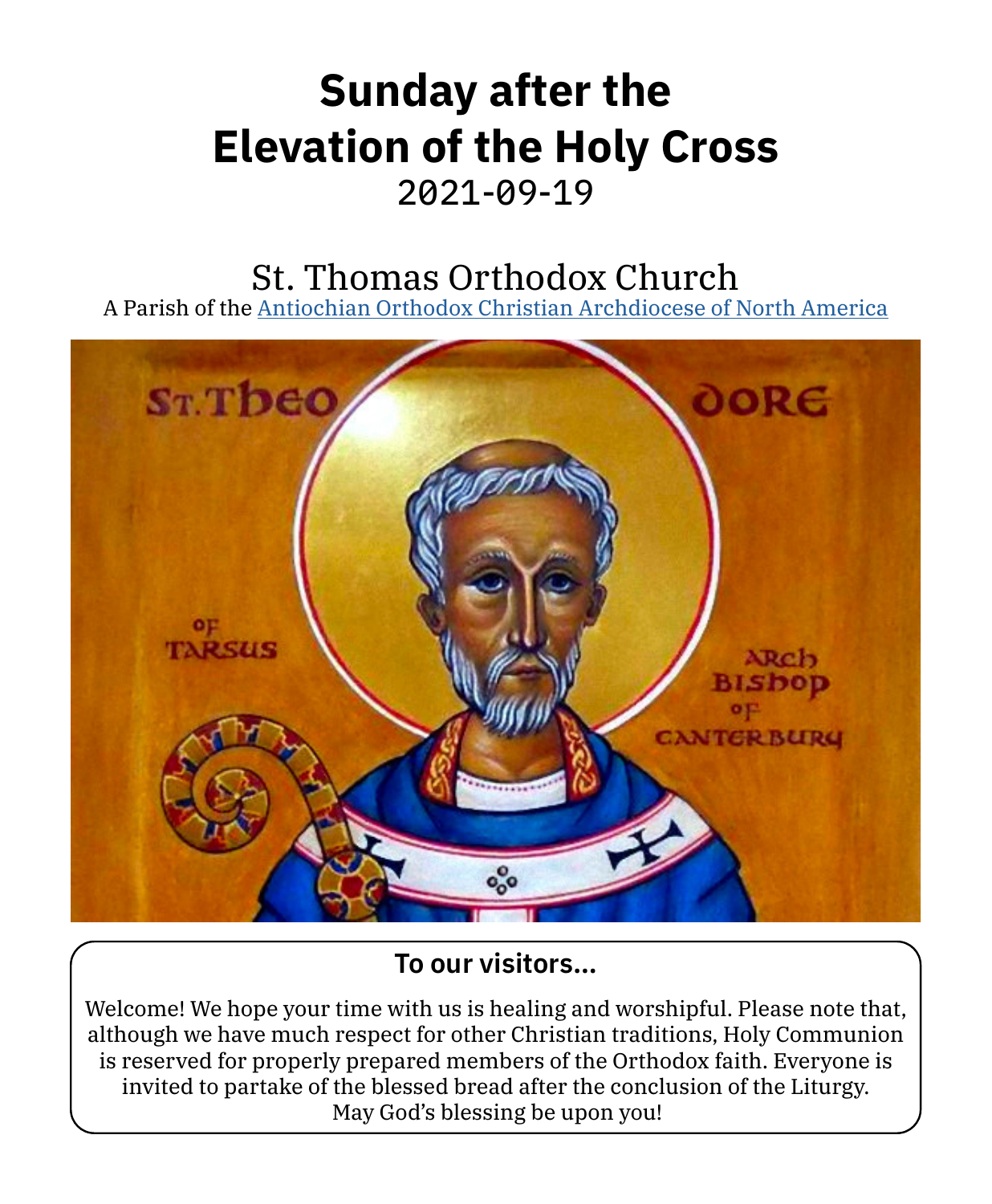# **Sunday after the Elevation of the Holy Cross** 2021-09-19

# St. Thomas Orthodox Church

A Parish of the [Antiochian Orthodox Christian Archdiocese of North America](https://www.antiochian.org)



## **To our visitors…**

Welcome! We hope your time with us is healing and worshipful. Please note that, although we have much respect for other Christian traditions, Holy Communion is reserved for properly prepared members of the Orthodox faith. Everyone is invited to partake of the blessed bread after the conclusion of the Liturgy. May God's blessing be upon you!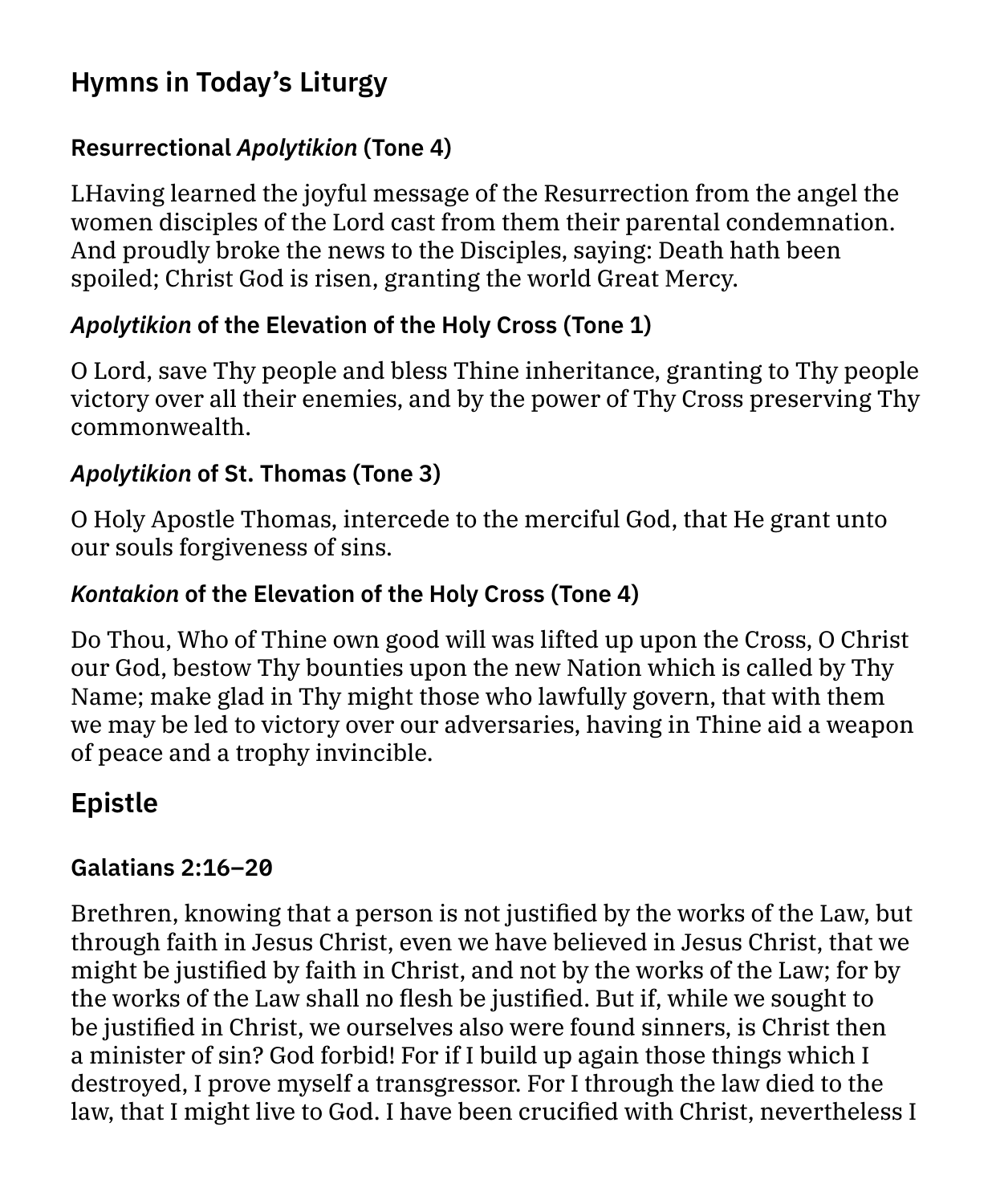# **Hymns in Today's Liturgy**

#### **Resurrectional** *Apolytikion* **(Tone 4)**

LHaving learned the joyful message of the Resurrection from the angel the women disciples of the Lord cast from them their parental condemnation. And proudly broke the news to the Disciples, saying: Death hath been spoiled; Christ God is risen, granting the world Great Mercy.

#### *Apolytikion* **of the Elevation of the Holy Cross (Tone 1)**

O Lord, save Thy people and bless Thine inheritance, granting to Thy people victory over all their enemies, and by the power of Thy Cross preserving Thy commonwealth.

#### *Apolytikion* **of St. Thomas (Tone 3)**

O Holy Apostle Thomas, intercede to the merciful God, that He grant unto our souls forgiveness of sins.

#### *Kontakion* **of the Elevation of the Holy Cross (Tone 4)**

Do Thou, Who of Thine own good will was lifted up upon the Cross, O Christ our God, bestow Thy bounties upon the new Nation which is called by Thy Name; make glad in Thy might those who lawfully govern, that with them we may be led to victory over our adversaries, having in Thine aid a weapon of peace and a trophy invincible.

# **Epistle**

#### **Galatians 2:16–20**

Brethren, knowing that a person is not justified by the works of the Law, but through faith in Jesus Christ, even we have believed in Jesus Christ, that we might be justified by faith in Christ, and not by the works of the Law; for by the works of the Law shall no flesh be justified. But if, while we sought to be justified in Christ, we ourselves also were found sinners, is Christ then a minister of sin? God forbid! For if I build up again those things which I destroyed, I prove myself a transgressor. For I through the law died to the law, that I might live to God. I have been crucified with Christ, nevertheless I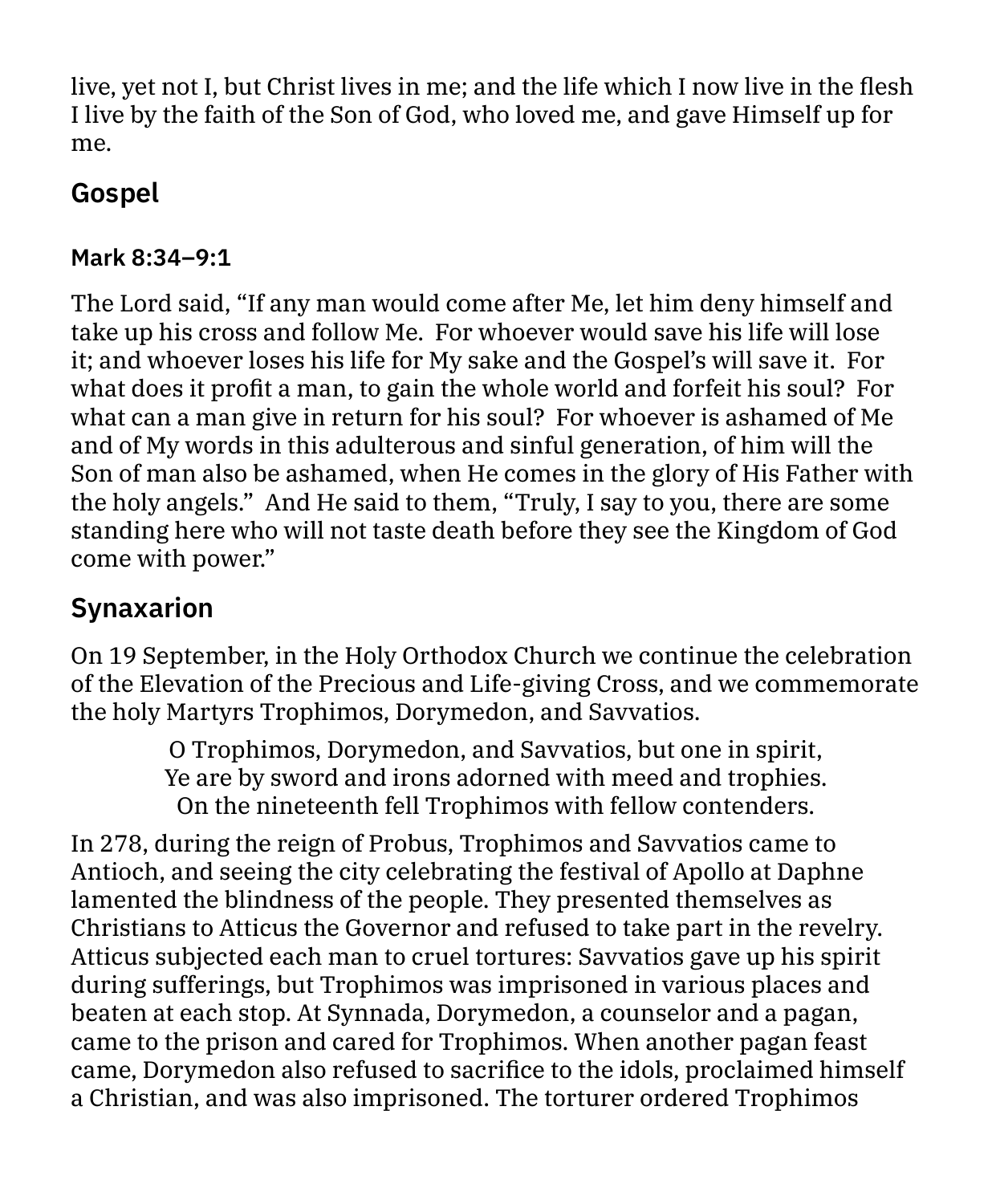live, yet not I, but Christ lives in me; and the life which I now live in the flesh I live by the faith of the Son of God, who loved me, and gave Himself up for me.

## **Gospel**

#### **Mark 8:34–9:1**

The Lord said, "If any man would come after Me, let him deny himself and take up his cross and follow Me. For whoever would save his life will lose it; and whoever loses his life for My sake and the Gospel's will save it. For what does it profit a man, to gain the whole world and forfeit his soul? For what can a man give in return for his soul? For whoever is ashamed of Me and of My words in this adulterous and sinful generation, of him will the Son of man also be ashamed, when He comes in the glory of His Father with the holy angels." And He said to them, "Truly, I say to you, there are some standing here who will not taste death before they see the Kingdom of God come with power."

## **Synaxarion**

On 19 September, in the Holy Orthodox Church we continue the celebration of the Elevation of the Precious and Life-giving Cross, and we commemorate the holy Martyrs Trophimos, Dorymedon, and Savvatios.

> O Trophimos, Dorymedon, and Savvatios, but one in spirit, Ye are by sword and irons adorned with meed and trophies. On the nineteenth fell Trophimos with fellow contenders.

In 278, during the reign of Probus, Trophimos and Savvatios came to Antioch, and seeing the city celebrating the festival of Apollo at Daphne lamented the blindness of the people. They presented themselves as Christians to Atticus the Governor and refused to take part in the revelry. Atticus subjected each man to cruel tortures: Savvatios gave up his spirit during sufferings, but Trophimos was imprisoned in various places and beaten at each stop. At Synnada, Dorymedon, a counselor and a pagan, came to the prison and cared for Trophimos. When another pagan feast came, Dorymedon also refused to sacrifice to the idols, proclaimed himself a Christian, and was also imprisoned. The torturer ordered Trophimos